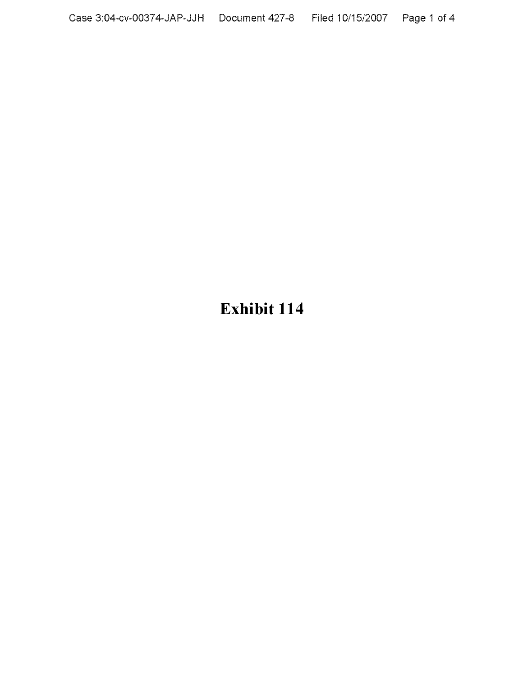# **Exhibit 114**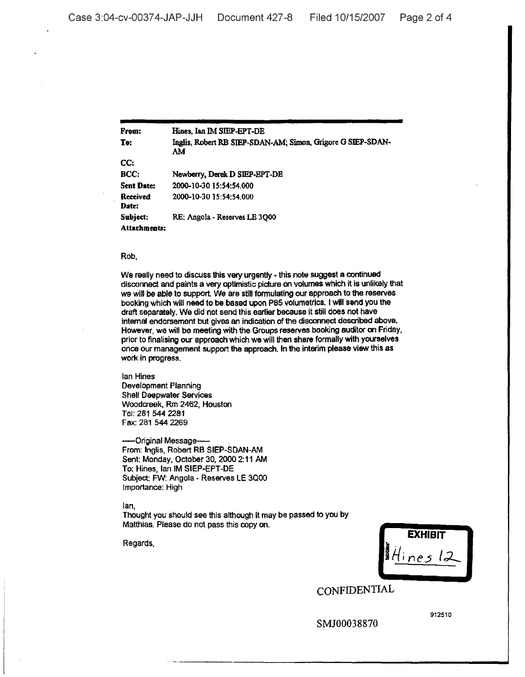From: To: cc: BCC: **Sent Date:** Received Date: Subject: Attachments: Hines. Ian IM SIEP·EPT-DE lnglis, Robert RB SIEP-SDAN·AM; Simon. Grigore GSIEP-SDAN· AM Newberry, Derek D SIEP·EPT-DE 2000-10·30 15:54:54.000 2000-10-3015:54:54.000 RE: Angola - Reserves LE 3QOO

## Rob,

We really need to discuss this very urgently - this note suggest a continued disconnect and paints a very optimistic picture on volumes which it is unlikely that we will be able to support. We are stili formulating our approach to the reserves booking which will need to be based upon P85 volumetrics. I will send you the draft separately. We did not send this earlier because It still does not have internal endorsement but gives an indication of the disconnect described above. However, we will be meeting with the Groups reserves booking auditor on Friday. prior to finalising our approach which we will then share formally with yourselves once our management support the approach. In the interim please view this as work in progress.

lan Hines Development Planning Shell Daepwater Services Woodcreek, Rm 2462, Houston Tel: 281 544 2281 Fax: 281 544 2269

-Original Message-From: Inglis, Robert RB SIEP-SOAN-AM Sent: Monday, October 30,2000 2:11 AM To: Hines, lan IM SIEP-EPT-DE Subject: FW: Angola - Reserves LE 3Qoo Importance: High

lan,

Thought you should see this although it may be passed to you by Matthias. Please do not pass this copy on.

Regards,

**EXHIBIT** 11-{ *• ;ne51:J-*

CONFIDENTIAL

SMJ00038870

912510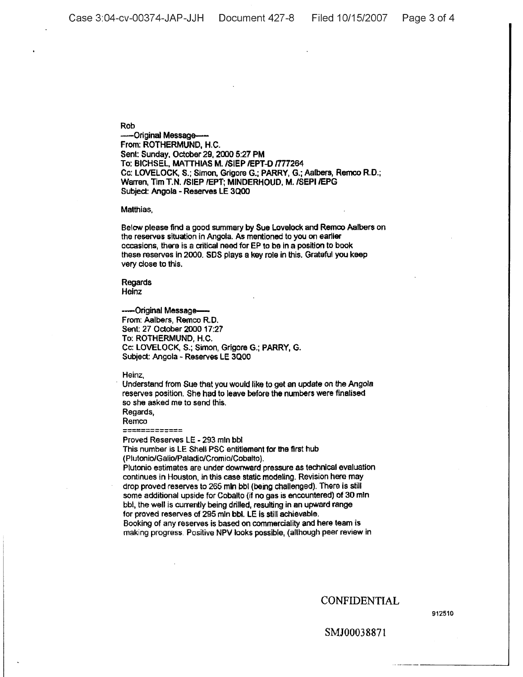Rob

-Original Message-- From: ROTHERMUND, H.C. Sent: Sunday, October 29, 2000 5:27 PM To: BICHSEL, MATTHIAS M. /SIEP / EPT-D / 777264 Cc: LOVELOCK, 5.; Simon. Grigore G.; PARRY, G.; Aalbers. Remco R.D.; Warren, Tim T.N. /SIEP /EPT; MINDERHOUD, M. /SEPI /EPG Subject: Angola - Reserves LE 3Qoo

#### Matthias,

Below please find a good summary by Sue Lovelock and Remoo Aalbers on the reserves situation in Angola. As mentioned to you on earlier occasions, there is a critical need for EP to be in a position to book these reserves in 2000. SOS plays a key role in this. Grateful you keep very close to this.

Regards Heinz

## -----Original Message-

From: Aalbers, Remco R.D. Sent: 27 October 2000 17:27 To: ROTHERMUND, H.C. Cc: lOVELOCK, 5.; Simon, Grigore G.; PARRY, G. Subject: Angola - Reserves LE 3QOO

Heinz,

Understand from Sue that you would like to get an update on the Angola reserves position. She had to leave before the numbers were finalised so she asked me to send this. Regards,

Remco

-----~------- ------------- Proved Reserves lE - <sup>293</sup> mln bbl

This number is LE Shell PSC entitlement for the first hub (Plutonio/Galio/PaladiolCromio/Cobalto).

Plutonio estimates are under downward pressure as technical evaluation continues in Houston, in this case static modeling. Revision here may drop proved reserves to 265 mln bbl (being challenged). There is still some additional upside for Cobalto (if no gas is encountered) of 30 mln bbl, the well is currently being drilled, resulting in an upward range for proved reserves of 295 mln bbl. LE is still achievable. Booking of any reserves is based on commerciality and here team is making progress. Positive NPV looks possible, (allhough peer review in

CONFIDENTIAL

912510

SMJ00038871